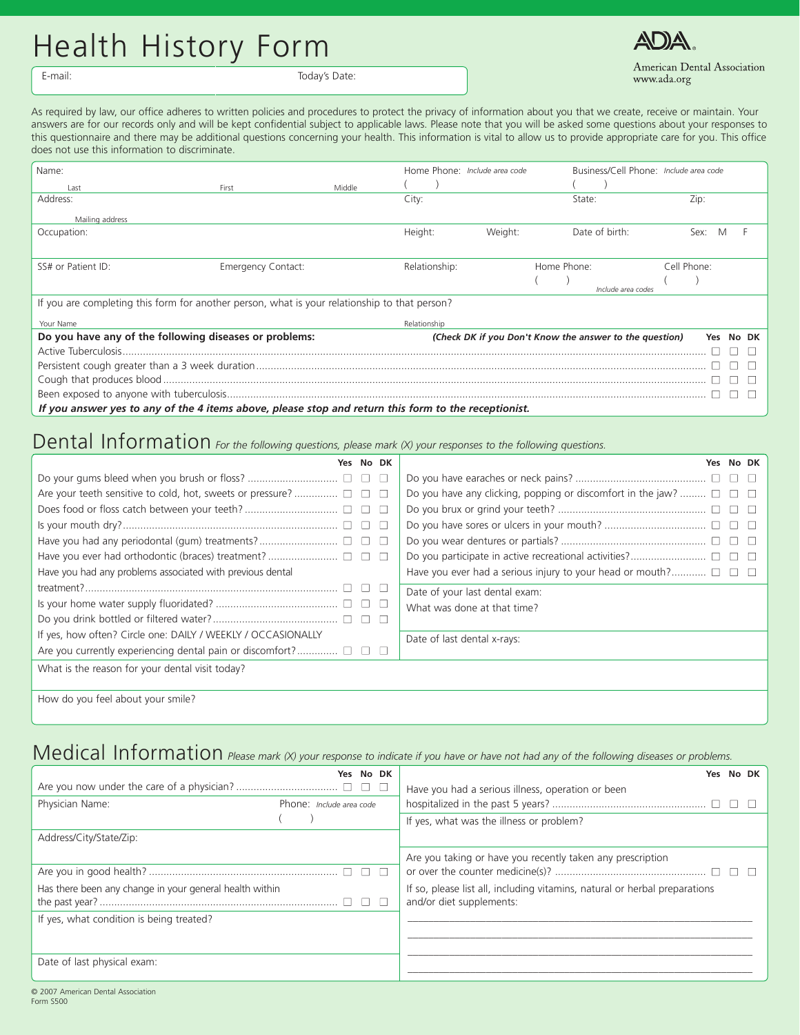## Health History Form



E-mail: Today's Date:



American Dental Association www.ada.org

As required by law, our office adheres to written policies and procedures to protect the privacy of information about you that we create, receive or maintain. Your answers are for our records only and will be kept confidential subject to applicable laws. Please note that you will be asked some questions about your responses to this questionnaire and there may be additional questions concerning your health. This information is vital to allow us to provide appropriate care for you. This office does not use this information to discriminate.

| Name:                                                                                         |                           |        | Home Phone: Include area code |         | Business/Cell Phone: Include area code                  |             |       |  |
|-----------------------------------------------------------------------------------------------|---------------------------|--------|-------------------------------|---------|---------------------------------------------------------|-------------|-------|--|
| Last                                                                                          | First                     | Middle |                               |         |                                                         |             |       |  |
| Address:                                                                                      |                           |        | City:                         |         | State:                                                  | Zip:        |       |  |
| Mailing address                                                                               |                           |        |                               |         |                                                         |             |       |  |
| Occupation:                                                                                   |                           |        | Height:                       | Weight: | Date of birth:                                          | Sex:        |       |  |
|                                                                                               |                           |        |                               |         |                                                         |             |       |  |
| SS# or Patient ID:                                                                            | <b>Emergency Contact:</b> |        | Relationship:                 |         | Home Phone:                                             | Cell Phone: |       |  |
|                                                                                               |                           |        |                               |         | Include area codes                                      |             |       |  |
| If you are completing this form for another person, what is your relationship to that person? |                           |        |                               |         |                                                         |             |       |  |
| Your Name                                                                                     |                           |        | Relationship                  |         |                                                         |             |       |  |
| Do you have any of the following diseases or problems:                                        |                           |        |                               |         | (Check DK if you Don't Know the answer to the question) | Yes.        | No DK |  |
|                                                                                               |                           |        |                               |         |                                                         |             |       |  |
|                                                                                               |                           |        |                               |         |                                                         |             |       |  |
|                                                                                               |                           |        |                               |         |                                                         |             |       |  |
|                                                                                               |                           |        |                               |         |                                                         |             |       |  |

*If you answer yes to any of the 4 items above, please stop and return this form to the receptionist.*

## Dental Information *For the following questions, please mark (X) your responses to the following questions.*

| Yes No DK                                                            | Yes No DK                                                             |
|----------------------------------------------------------------------|-----------------------------------------------------------------------|
| - ⊔                                                                  |                                                                       |
| Are your teeth sensitive to cold, hot, sweets or pressure? $\square$ | Do you have any clicking, popping or discomfort in the jaw? $\square$ |
|                                                                      |                                                                       |
|                                                                      |                                                                       |
|                                                                      |                                                                       |
|                                                                      |                                                                       |
| Have you had any problems associated with previous dental            | Have you ever had a serious injury to your head or mouth? $\square$   |
|                                                                      | Date of your last dental exam:                                        |
|                                                                      | What was done at that time?                                           |
|                                                                      |                                                                       |
| If yes, how often? Circle one: DAILY / WEEKLY / OCCASIONALLY         | Date of last dental x-rays:                                           |
| Are you currently experiencing dental pain or discomfort? $\Box$     |                                                                       |
| What is the reason for your dental visit today?                      |                                                                       |
|                                                                      |                                                                       |

How do you feel about your smile?

## Medical Information *Please mark (X) your response to indicate if you have or have not had any of the following diseases or problems.*

|                                                         | No DK<br>Yes             |                                                                            | Yes No DK |
|---------------------------------------------------------|--------------------------|----------------------------------------------------------------------------|-----------|
|                                                         |                          | Have you had a serious illness, operation or been                          |           |
| Physician Name:                                         | Phone: Include area code |                                                                            |           |
|                                                         |                          | If yes, what was the illness or problem?                                   |           |
| Address/City/State/Zip:                                 |                          |                                                                            |           |
|                                                         |                          | Are you taking or have you recently taken any prescription                 |           |
|                                                         |                          |                                                                            |           |
| Has there been any change in your general health within |                          | If so, please list all, including vitamins, natural or herbal preparations |           |
|                                                         | $\mathbf{L}$             | and/or diet supplements:                                                   |           |
| If yes, what condition is being treated?                |                          |                                                                            |           |
|                                                         |                          |                                                                            |           |
|                                                         |                          |                                                                            |           |
| Date of last physical exam:                             |                          |                                                                            |           |
|                                                         |                          |                                                                            |           |